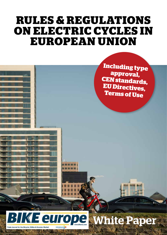## **RULES & REGULATIONS ON ELECTRIC CYCLES IN EUROPEAN UNION**

**Including type approval, CEN standards, EU Directives, Terms of Use**



# White Paper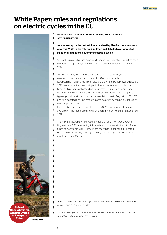## White Paper: rules and regulations on electric cycles in the EU



**UPDATED WHITE PAPER ON ALL ELECTRIC BICYCLE RULES AND LEGISLATION**

As a follow-up on the first edition published by Bike Europe a few years ago, this White Paper offers an updated and detailed overview of all rules and regulations governing electric bicycles.

One of the major changes concerns the technical regulations resulting from the new type-approval, which has become definitely effective in January 2017.

All electric bikes, except those with assistance up to 25 km/h and a maximum continuous rated power of 250W, must comply with the European harmonised technical rules laid down in type-approval legislation. 2016 was a transition year during which manufacturers could choose between type-approval according to Directive 2002/24 or according to Regulation 168/2013. Since January 2017, all new electric bikes subject to type-approval must comply with the rules laid down in Regulation 168/2013 and its delegated and implementing acts, before they can be distributed on the European Union.

Electric bikes approved according to the 2002-system may still be made available on the market, registered or entered into service until 31 December 2019.

The new Bike Europe White Paper contains all details on type approval Regulation 168/2013, including full details on the categorization of different types of electric bicycles. Furthermore, the White Paper has full updated details on rules and legislation governing electric bicycles with 250W and assistance up to 25 km/h.

*Stay on top of the news and sign up for Bike Europe's free email newsletter at [www.bike-eu.com/newsletter](http://www.bike-eu.com/newsletter)*

*Twice a week you will receive an overview of the latest updates on laws & regulations, directly into your mailbox.*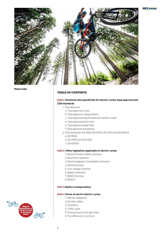### **BIKE** europe



**Photo Cube**

### **TABLE OF CONTENTS**

### PART 1: Technical rules specifically for electric cycles: type-approval and CEN-standards

1. Type-approval

- a. Type-approval scope
- b. Type-approval categorization
- c. Type-approval requirements for electric cycles
- d. Type-approval factor four
- e. Type-approval legal texts
- f. Type-approval procedures
- 2. CEN standards: EN 15194, EN 14764, ISO 4210 and EN 50604
	- a. EN 15194
	- b. EN 14764 and ISO 4210
	- c. EN 50604

### PART 2: Other legislation applicable to electric cycles

- 1. General Product Safety Directive
- 2. Machinery Directive
- 3. Electromagnetic Compatibility Directive
- 4. RoHS Directive
- 5. Low Voltage Directive
- 6. Battery Directive
- 7. WEEE Directive
- 8. REACH

### PART 3: Battery transportation

### PART 4: Terms of use for electric cycles

- 1. Helmet obligations
- 2. Number plates
- 3. Insurance
- 4. Traffic code
- 5. Driving licence and age limits
- 6. Fiscal/financial incentives

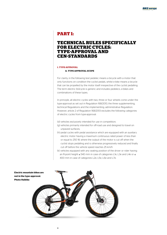### **PART 1:**

### **TECHNICAL RULES SPECIFICALLY FOR ELECTRIC CYCLES: TYPE-APPROVAL AND CEN-STANDARDS**

### **1. TYPE-APPROVAL**

#### **A. TYPE-APPROVAL SCOPE**

For clarity, in the following text pedelec means a bicycle with a motor that only functions on condition the cyclist pedals, whilst e-bike means a bicycle that can be propelled by the motor itself irrespective of the cyclist pedalling. The term electric (bi)cycle is generic and includes pedelecs, e-bikes and combinations of these types.

In principle, all electric cycles with two, three or four wheels come under the type-approval as set out in Regulation 168/2013, the three supplementing, technical Regulations and the implementing, administrative Regulation. However, article 2 of Regulation 168/2013 excludes the following categories of electric cycles from type-approval:

(d) vehicles exclusively intended for use in competition;

- (g) vehicles primarily intended for off-road use and designed to travel on unpaved surfaces;
- (h) pedal cycles with pedal assistance which are equipped with an auxiliary electric motor having a maximum continuous rated power of less than or equal to 250 W, where the output of the motor is cut off when the cyclist stops pedalling and is otherwise progressively reduced and finally cut off before the vehicle speed reaches 25 km/h
- (k) vehicles equipped with any seating position of the driver or rider having an R-point height ≤ 540 mm in case of categories L1e, L3e and L4e or ≤
- 400 mm in case of categories L2e, L5e, L6e and L7e.



4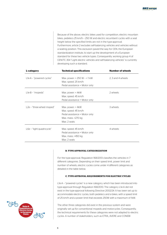Because of the above, electric bikes used for competition, electric mountain bikes, pedelecs 25 km/h – 250 W and electric recumbent cycles with a seat height below the specified limits are not in the type-approval. Furthermore, article 2 excludes self-balancing vehicles and vehicles without a seating position. This exclusion paved the way for CEN, the European standardization institute, to start up the development of a European standard for these two vehicle types. Consequently, working group 4 of CEN/TC 354 "Light electric vehicles and self-balancing vehicles" is currently developing such a standard.

| <b>Technical specifications</b><br>L-category |                                  | <b>Number of wheels</b> |
|-----------------------------------------------|----------------------------------|-------------------------|
| L1e-A - "powered cycles"                      | Max. power: $> 250$ W $- < 1$ kW | 2.3 and 4 wheels        |
|                                               |                                  |                         |
|                                               | Max. speed: 25 km/h              |                         |
|                                               | Pedal assistance + Motor only    |                         |
|                                               |                                  |                         |
| L1e-B - "mopeds"                              | Max. power: $<$ 4kW              | 2 wheels                |
|                                               | Max. speed: 45 km/h              |                         |
|                                               | Pedal assistance + Motor only    |                         |
|                                               |                                  |                         |
| L2e - "three-wheel moped"                     | Max. power: $<$ 4kW              | 3 wheels                |
|                                               | Max. speed: 45 km/h              |                         |
|                                               | Pedal assistance + Motor only    |                         |
|                                               | Max. mass: <270 kg               |                         |
|                                               | Max. 2 seats                     |                         |
|                                               |                                  |                         |
| L6e - "light quadricycle"                     | Max. speed: 45 km/h              | 4 wheels                |
|                                               | Pedal assistance + Motor only    |                         |
|                                               | Max. mass: <450 kg               |                         |
|                                               | Max. 2 seats                     |                         |

### **B. TYPE-APPROVAL CATEGORIZATION**

For the type-approval, Regulation 168/2013 classifies the vehicles in 7 different categories. Depending on their speed limit, power limit and number of wheels, electric cycles come under 4 different categories as detailed in the table below.

### **C. TYPE-APPROVAL REQUIREMENTS FOR ELECTRIC CYCLES**

L1e-A – "powered cycles" is a new category, which has been introduced into type-approval through Regulation 168/2013. The category L1e-A did not exist in the type-approval following Directive 2002/24. It has been set up to accommodate electric cycles, both pedelecs and e-bikes, with a speed limit of 25 km/h and a power limit that exceeds 250W with a maximum of 1kW.

The other three categories did exist in the previous system and were originally set up for conventional mopeds and motorcycles. Consequently, the technical requirements for these categories were not adapted to electric cycles. A number of stakeholders, such as ETRA, AVERE and CONEBI

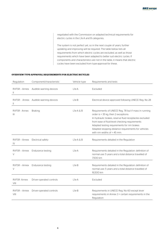negotiated with the Commission on adapted technical requirements for electric cycles in the L1e-A and B categories.

The system is not perfect yet, so in the next couple of years, further updating and improving will be required. The table below lists all requirements from which electric cycles are excluded, as well as those requirements which have been adapted to better suit electric cycles. If components and characteristics are not in the table, it means that electric components and characteristics are not in the table, it me.<br>cycles have been excluded from type-approval for these.

### **OVERVIEW TYPE-APPROVAL REQUIREMENTS FOR ELECTRIC BICYCLES**

 $\frac{1}{2}$ 

ł.

| Regulation                 | Component/characteristic              | Vehicle type       | Requirements and tests                                                                                                                                                                                                                                                                                                                         |
|----------------------------|---------------------------------------|--------------------|------------------------------------------------------------------------------------------------------------------------------------------------------------------------------------------------------------------------------------------------------------------------------------------------------------------------------------------------|
| RVFSR - Annex<br>Ш         | Audible warning devices               | L1e-A              | Excluded                                                                                                                                                                                                                                                                                                                                       |
| $\mathbf{H}$               | RVFSR - Annex Audible warning devices | $L1e-B$            | Electrical device approved following UNECE Reg. No 28                                                                                                                                                                                                                                                                                          |
| RVFSR - Annex<br>Ш         | <b>Braking</b>                        | $L1e-A & B$        | Requirements of UNECE Reg. 78 but if mass in running<br>order is < 35 kg, then 2 exceptions:<br>In hydraulic brakes, reserve fluid receptacles excluded<br>from ease of fluid-level checking requirements<br>Adapted testing requirements for rim brakes<br>Adapted stopping distance requirements for vehicles<br>with rim widths of < 45 mm. |
| RVFSR - Annex<br>IV        | Electrical safety                     | $L$ le-A & B       | Requirements detailed in the Regulation                                                                                                                                                                                                                                                                                                        |
| RVFSR - Annex<br>V         | Endurance testing                     | L <sub>1e</sub> -A | Requirements detailed in the Regulation: definition of<br>normal use: 5 years and a total distance travelled of<br>7,500 km                                                                                                                                                                                                                    |
| RVFSR - Annex<br>$\vee$    | Endurance testing                     | $L1e-B$            | Requirements detailed in the Regulation: definition of<br>normal use: 5 years and a total distance travelled of<br>16,500 km                                                                                                                                                                                                                   |
| <b>RVFSR-Annex</b><br>VIII | Driver-operated controls              | $L1e-A$            | Excluded                                                                                                                                                                                                                                                                                                                                       |
| RVFSR - Annex<br>VIII      | Driver-operated controls              | L <sub>1e</sub> -B | Requirements in UNECE Reg. No 60 except lever<br>requirements in Annex 3 + certain requirements in the<br>Regulation                                                                                                                                                                                                                           |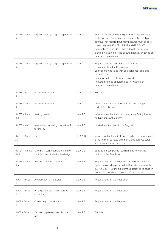| IX                            | RVFSR - Annex Lighting and light signalling devices                   | L1e-A           | White headlamp, red rear light, amber side reflectors,<br>amber pedal reflectors and a red rear reflector. Type-<br>approval not required but manufacturer must declare<br>conformity with ISO 6742-1:1987 and 6742-2:1985.<br>Retro-reflective bands on tyre sidewalls or rims are<br>allowed. Activated instead of automatically switched-on<br>headlamps are allowed. |
|-------------------------------|-----------------------------------------------------------------------|-----------------|--------------------------------------------------------------------------------------------------------------------------------------------------------------------------------------------------------------------------------------------------------------------------------------------------------------------------------------------------------------------------|
| RVFSR - Annex<br>IX           | Lighting and light signalling devices                                 | L1e-B           | Requirements in UNECE Reg. No 74 + certain<br>requirements in the Regulation.<br>Vehicles may be fitted with additional rear and side<br>reflective devices.<br>Rear registration plate lamp required.<br>Activated instead of automatically switched-on<br>headlamps are allowed.                                                                                       |
| <b>RVESR-Annex</b><br>Х       | Rearward visibility                                                   | L1e-A           | Excluded                                                                                                                                                                                                                                                                                                                                                                 |
| RVFSR - Annex<br>Х            | Rearward visibility                                                   | $L1e-B$         | Class II or III devices type-approved according to<br>UNECE Reg. No 46                                                                                                                                                                                                                                                                                                   |
| RVFSR - Annex<br>XIII         | Seating position                                                      | $L$ 1e-A $\&$ B | Vehicles must be fitted with one saddle facing forward,<br>no type-approval required                                                                                                                                                                                                                                                                                     |
| <b>RVFSR - XIV</b>            | Steerability, cornering properties &<br>turnability                   | $L$ 1e-A & B    | Limited requirements in the Regulation                                                                                                                                                                                                                                                                                                                                   |
| RVFSR - Annex<br>XV           | Tyres                                                                 | L1e-A & B       | Vehicles with a technically permissible maximum mass<br>≤ 150 kg may be fitted with non-type-approved tyres<br>with a section width $\leq 67$ mm.                                                                                                                                                                                                                        |
| RVFSR - Annex<br><b>XVIII</b> | Maximum continuous rated and/or<br>vehicle speed limitation by design | $L$ 1e-A & B    | Specific anti-tampering requirements for electric<br>motors in the Regulation                                                                                                                                                                                                                                                                                            |
| XIX                           | RVFSR - Annex Vehicle structure integrity                             | $L1e-A & B$     | Requirements in the Regulation + vehicles L1e-A and<br>cycles designed to pedal in L1e-B must conform with<br>ISO 4210:2014. Definition of cycles designed to pedal in<br>Annex XIX: pedelecs up to 45 km/h + factor 4                                                                                                                                                   |
| RVCR - Annex<br>$\mathbf{H}$  | Anti-tampering measures                                               | $L1e-A & B$     | Requirements in the Regulation                                                                                                                                                                                                                                                                                                                                           |
| RVCR - Annex<br>Ш             | Arrangements for type-approval<br>procedures                          | L1e-A & B       | Requirements in the Regulation                                                                                                                                                                                                                                                                                                                                           |
| RVCR - Annex<br>Ш             | Conformity of production                                              | $L1e-A & B$     | Requirements in the Regulation                                                                                                                                                                                                                                                                                                                                           |
| RVCR - Annex<br>V             | Devices to prevent unauthorised<br>use                                | $L$ 1e-A $\&$ B | Excluded                                                                                                                                                                                                                                                                                                                                                                 |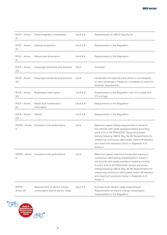| RVCR - Annex<br>VI   | Electromagnetic compatibility                                       | $L1e-A & B$        | Requirements of UNECE Reg. No 10                                                                                                                                                                                                                                                                                                                                                        |
|----------------------|---------------------------------------------------------------------|--------------------|-----------------------------------------------------------------------------------------------------------------------------------------------------------------------------------------------------------------------------------------------------------------------------------------------------------------------------------------------------------------------------------------|
| RVCR - Annex<br>VII  | External projections                                                | L1e-A & B          | Requirements in the Regulation                                                                                                                                                                                                                                                                                                                                                          |
| RVCR - Annex<br>XI   | Masses and dimensions                                               | L1e-A & B          | Requirements in the Regulation                                                                                                                                                                                                                                                                                                                                                          |
| RVCR - Annex<br>XIII | Passenger handholds and footrests                                   | L1e-A              | Excluded                                                                                                                                                                                                                                                                                                                                                                                |
| RVCR - Annex<br>XIII | Passenger handholds and footrests                                   | L1e-B              | Handholds not required if the vehicle is not designed<br>to carry passengers. Pedals are considered to meet the<br>footrests' requirements                                                                                                                                                                                                                                              |
| RVCR - Annex<br>XIV  | Registration plate space                                            | L1e-A & B          | Requirements in the Regulation: min. 10 cm wide and<br>17.5 cm high                                                                                                                                                                                                                                                                                                                     |
| RVCR - Annex<br>XV   | Repair and maintenance<br>information                               | $L1e-A & B$        | Requirements in the Regulation                                                                                                                                                                                                                                                                                                                                                          |
| RVCR - Annex<br>XVI  | Stands                                                              | L1e-A & B          | Requirements in the Regulation                                                                                                                                                                                                                                                                                                                                                          |
| REPPR - Annex<br>Χ   | Propulsion Unit performance                                         | L <sub>1e</sub> -A | Maximum speed testing requirements in Annex X<br>but vehicles with pedal assistance tested according<br>point 4.2.6 in EN 15194:2009. Torque and power<br>testing following UNECE Reg. No 85. Requirements for<br>measuring continuous rated power, switch-off distance<br>and maximum assistance factor in Appendix 4 of<br>Annex X                                                    |
| REPPR - Annex<br>Χ   | Propulsion Unit performance                                         | $L1e-B$            | Maximum speed, maximum torque and maximum<br>continuous rated testing requirements in Annex X<br>but bicycles with pedal assistance tested according<br>to point 4.2.6 in EN 15194:2009. Torque and power<br>testing following UNECE Reg. No 85. Requirements for<br>measuring continuous rated power, switch-off distance<br>and maximum assistance factor in Appendix 4 of<br>Annex X |
| REPPR-<br>Annex XII  | Measurement of electric energy<br>consumption and of electric range | L1e-A & B          | Excluded from electric range measurement.<br>Requirements for electric energy consumption<br>measurement in the Regulation                                                                                                                                                                                                                                                              |

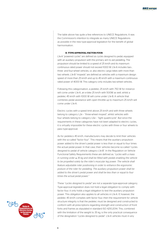The table above has quite a few references to UNECE Regulations. It was the Commission's intention to integrate as many UNECE Regulations as possible in the new type-approval legislation for the benefit of global harmonisation.

### **D. TYPE-APPROVAL FACTOR FOUR**

L1e-A "powered cycles" are defined as cycles designed to pedal, equipped with an auxiliary propulsion with the primary aim to aid pedalling. The propulsion should be limited to a speed of 25 km/h and its maximum continuous rated power should not exceed 1000 W. L1e-A includes two-, three- and four-wheel vehicles, i.e. also electric cargo bikes with more than two wheels. L1e-B "mopeds" are defined as vehicles with a maximum design speed of more than 25 km/h and up to 45 km/h with a maximum continuous rated power of 4000 W. This category only includes two-wheel vehicles.

Following this categorisation, a pedelec 25 km/h with 750 W for instance will come under L1e-A, an e-bike 25 km/h with 500W as well, whilst a pedelec 45 km/h with 1000 W will come under L1e-B. A vehicle that combines pedal assistance with open throttle up to maximum 25 km/h will come under L1e-A.

Electric cycles with a speed limit above 25 km/h and with three wheels belong to category L2e – "three-wheel moped", whilst vehicles with four wheels belong to category L6e – "light quadricycle". But since the requirements in these categories have not been adapted to electric cycles, it is virtually impossible for these electric cycles with three or four wheels to pass type-approval.

As for pedelecs 45 km/h, manufacturers may decide to limit their vehicles with the so-called "factor four". This means that the auxiliary propulsion power added to the driver's pedal power is less than or equal to four times the actual pedal power. In that case, their vehicles become so-called "cycles designed to pedal of vehicle category L1e-B". In the Regulation on Vehicle Functional Safety Requirements these are defined as*: "cycles with a mass in running order* ≤ *35 kg and shall be fitted with pedals enabling the vehicle to be propelled solely by the rider's muscular leg power. The vehicle shall feature adjustable rider positioning in order to enhance the ergonomic posture of the rider for pedalling. The auxiliary propulsion power shall be added to the driver's pedal power and shall be less than or equal to four times the actual pedal power."*

These *"cycles designed to pedal"* are not a separate type-approval category. Type-approval legislation does not hold a legal obligation to comply with factor four, it only holds a legal obligation to test the auxiliary propulsion power. This obligation also applies to all vehicles in L1e-A. If, however, the pedelec 45 km/h complies with factor four, then the requirement for vehicle structure integrity is that the pedelec must be designed and constructed to conform with all prescriptions regarding strength and construction of front forks and frames as stipulated in standard ISO 4210:2014. This, combined with the limitation of the weight to 35 kg, is the only practical consequence of the designation "cycles designed to pedal". L1e-A vehicles must in any

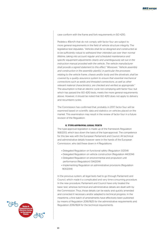case conform with the frame and fork requirements in ISO 4210.

Pedelecs 45km/h that do not comply with factor four are subject to more general requirements in the field of vehicle structure integrity. The legislative text stipulates: *"Vehicles shall be so designed and constructed as to be sufficiently robust to withstand their intended use over their normal lifetime, taking into account regular and scheduled maintenance and specific equipment adjustments clearly and unambiguously set out in the instruction manual provided with the vehicle. The vehicle manufacturer shall provide a signed statement to this effect." Moreover: "Vehicle assembly and construction in the assembly plant(s), in particular the processes relating to the vehicle frame, chassis and/or body and the drivetrain, shall be covered by a quality assurance system to ensure that essential mechanical connections such as welds and threaded connections, as well as other relevant material characteristics, are checked and verified as appropriate."* The assumption is that an electric cycle not complying with factor four, but which has passed the ISO 4210 tests, meets the more general requirements above. However, it should be noted that ISO 4210 does not apply to delivery and recumbent cycles.

The Commission has confirmed that, probably in 2017, factor four will be examined based on scientific data and statistics on vehicles placed on the market. This examination may result in the review of factor four in a future revision of the Regulation.

### **E. TYPE-APPROVAL LEGAL TEXTS**

The type-approval legislation is made up of the framework Regulation 168/2013, which lays down the basis of the type-approval. The competence for this law was with the European Parliament and Council. All technical and administrative details however were in the hands of the European Commission, who laid these down in 4 Regulations:

- Delegated Regulation on functional safety (Regulation 3/2014)
- Delegated Regulation on vehicle construction (Regulation 44/2014)
- Delegated Regulation on environmental and propulsion unit performance (Regulation) 134/2014)
- •Implementing Regulation on administrative provisions (Regulation 901/2014)

In the previous system, all legal texts had to go through Parliament and Council, which made it a complicated and very time-consuming procedure. In the new procedure, Parliament and Council have only treated the basic text, whereas technical and administrative details are dealt with by the Commission. Thus, those details can be easily and quickly amended and corrected if necessary and/or adapted to technical progress. In the meantime, a first batch of amendments have effectively been published by means of Regulation 2016/1825 for the administrative requirements and Regulation 2016/1824 for the technical requirements.

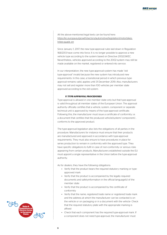All the above-mentioned legal texts can be found here: [https://ec.europa.eu/growth/sectors/automotive/legislation/motorbikes](https://ec.europa.eu/growth/sectors/automotive/legislation/motorbikes-trikes-quads_en)trikes-quads\_en

Since January 1, 2017, the new type-approval rules laid down in Regulation 168/2013 have come into force. It is no longer possible to approve a new vehicle type according to the system based on Directive 2002/24/EC. Nevertheless, vehicles approved according to the 2002-system may still be made available on the market, registered or entered into service.

In our interpretation, the new type-approval system has made "old type-approval" invalid because the new system has introduced new requirements. In this case, a transitional period in which previous typeapproval remains valid, applies until 31 December 2019. Also, manufacturers may not sell and register more than 100 vehicles per member state approved according to the old system.

#### **f. Type-approval procedures**

Type-approval is allowed in one member state only but that type-approval is valid throughout all member states of the European Union. The approval authority officially certifies that a vehicle, system, component or separate technical unit is approved by means of the type-approval certificate. Following this, the manufacturer must issue a certificate of conformity, i.e. a document that certifies that the produced vehicle/system/ component/… conforms to the approved product.

The type-approval legislation also lists the obligations of all parties in the procedure. Manufacturers for instance must ensure that their products are manufactured and approved in accordance with type-approval requirements. They must also ensure to have procedures in place for series production to remain in conformity with the approved type. They have specific obligations to fulfil in case of non-conformity or serious risks appearing from certain products. Manufacturers established outside the EU must appoint a single representative in the Union before the type-approval authority.

As for dealers, they have the following obligations:

- Verify that the product bears the required statutory marking or typeapproved mark
- Verify that the product is accompanied by the legally required documents and safetyinformation in the official language(s) of the member state
- • Verify that the product is accompanied by the certificate of conformity
- Verify that the name, registered trade name or registered trade mark and the address at which the manufacturer can be contacted is on the vehicle or on packaging or in a document with the vehicle- Check that the required statutory plate with the appropriate marking is affixed
- Check that each component has the required type-approval mark. If a component does not need type-approval, the manufacturer must

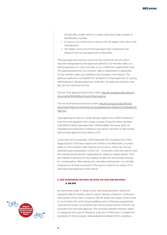at least affix a trade name or a trade mark and a type number or identification number

- In case of non-conformity or serious risk the dealer must inform the manufacturer
- The dealer must ensure that type-approved components are replaced only by type-approved components

The type-approval must be carried out by a technical service, which has been designated by the approval authority of a member state, as a testing laboratory to carry out tests or as a conformity assessment body. The approval authority of a member state is established or appointed by the member state and notified to the European Commission. The approval authority is competent for all aspects of type-approval, i.e. issuing, withdrawing or refusing approval certificates. An approval authority may also act as a technical service.

### The list of all approval authorities is here: [http://ec.europa.eu/DocsRoom/](http://ec.europa.eu/DocsRoom/documents/18442/attachments/1/translations/) [documents/18442/attachments/1/translations/](http://ec.europa.eu/DocsRoom/documents/18442/attachments/1/translations/)

The list of all technical services is here: [http://ec.europa.eu/DocsRoom/](http://ec.europa.eu/DocsRoom/documents?tags=technical-service-auto&pageSize=30&sortCol=title&sortOrder=asc) documents?tags=technical-service-auto&pageSize=30&sortCol=title&sortO rder=asc

Type-approval for electric cycles already applies since 2003. However, it now becomes apparent that a large number of electric bikes has been sold without being type-approved. Unfortunately, the abuse goes on, manufacturers/importers continue to put electric bicycles on the market without type-approval, thus without COC.

Consumers are increasingly confronted with the consequences of this illegal practice. If the law requires the vehicle to be fitted with a number plate or if the member state imposes an insurance, these can only be obtained upon presentation of the COC. Consumers have the right to hold the manufacturer/importer responsible for selling an illegal vehicle. They are entitled to demand for the supplier to take the vehicle back and ask for compensation. Alternatively, the manufacturer/importer can still take measures to remedy his breach of the law for instance by means of an individual type-approval of the vehicle.

### **2. CEN standards: EN 15194, EN 14764, ISO 4210 and EN 50604 a. EN 1519**

As mentioned under 1.1 *"pedal cycles with pedal assistance which are equipped with an auxiliary electric motor having a maximum continuous rated power of less than or equal to 250 W, where the output of the motor is cut off when the cyclist stops pedalling and is otherwise progressively reduced and finally cut off before the vehicle speed reaches 25 km/h"* are excluded from the type-approval. This exclusion allowed member states to categorize this type of vehicle as a bicycle. Furthermore, it created the possibility for the European standardization institute CEN to develop a

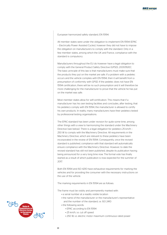European harmonized safety standard, EN 15194.

All member states were under the obligation to implement EN 15194 (EPAC – Electrically Power Assisted Cycles), however they did not have to impose the obligation on manufacturers to comply with the standard. Only in a few member states, among which the UK and France, compliance with the standard is compulsory.

Manufacturers throughout the EU do however have a legal obligation to comply with the General Product Safety Directive (GPSD), 2001/95/EC. The basic principle of this law is that manufacturers must make sure that the products they put on the market are safe. If a problem with a pedelec occurs and the vehicle complies with EN 15194, then it will benefit from a presumption of conformity with GPSD. If the pedelec does not have EN 15194 certification, there will be no such presumption and it will therefore be more challenging for the manufacturer to prove that the vehicle he has put on the market was safe.

Most member states allow for self-certification. This means that if a manufacturer has his own testing facilities and concludes, after testing, that his pedelecs comply with EN 15194, the manufacturer is allowed to certify his own products. In reality, many manufacturers have their pedelecs tested by professional testing organisations.

The EPAC-standard has been under revision for quite some time, among other things with a view to harmonizing the standard under the Machinery Directive (see below). There is a legal obligation for pedelecs 25 km/h – 250 W to comply with the Machinery Directive. All requirements in the Machinery Directive, which are relevant to these pedelecs have been incorporated in the review of EN 15194. Consequently, once the revised standard is published, compliance with that standard will automatically ensure compliance with the Machinery Directive. However, to date the revised standard has still not been published, despite its publication having being announced for a very long time now. The formal vote has finally started as a result of which publication is now expected for the summer of  $2017$ 

Both EN 15194 and ISO 4210 have exhaustive requirements for marking the vehicles and for providing the consumer with the necessary instructions on the use of the vehicle.

The marking requirements in EN 15194 are as follows:

The frame must be visibly and permanently marked with:

- a serial number at a readily visible location
- the name of the manufacturer or the manufacturer's representative and the number of the standard, i.e. ISO 2410
- the following words:
	- EPAC according to EN 15194
	- 25 km/h, i.e. cut off speed
	- 250 W, i.e. electric motor maximum continuous rated power

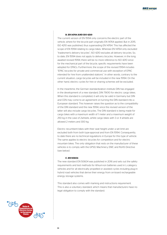### **B. EN 14764 AND ISO 4210**

The current version of EN 15194 only concerns the electric part of the vehicle, where for the bicycle part originally EN 14764 applied. But in 2015, ISO 4210 was published, thus superseding EN 14764. This has affected the scope of EN 15194 relating to cargo bikes. Whereas EN 14764 only excluded "tradesmen's delivery bicycles", ISO 4210 excludes all delivery bicycles. So, to date, EN 15194 does not apply to delivery bicycles. However, in the long awaited revised 15194, there will be no more reference to ISO 4210 since for the mechanical part of the bicycle, specific requirements have been adopted for EPACs. Furthermore, the scope of the revised 15194 includes "EPAC bicycles for private and commercial use with exception of EPAC intended for hire from unattended stations". In other words, contrary to the current situation, cargo bicycles will be included in the new 15194. On the other hand, electric cycles for hire or sharing schemes will be excluded.

In the meantime, the German standardization institute DIN has engaged in the development of a new standard, DIN 79010 for electric cargo bikes. When this standard is completed, it will only be valid in Germany but DIN and CEN may come to an agreement on turning the DIN standard into a European standard. This however raises the question as to the compatibility of the DIN standard and the new 15194, since the revised version of the latter will also include cargo bicycles. The DIN standard is being made for cargo bikes with a maximum width of 1 meter and a maximum weight of 250 kg in the case of 2wheels, whilst cargo bikes with 3 or 4 wheels are allowed 2 meters and 300 kg.

Electric recumbent bikes with their seat height under a set limit are excluded both from both type-approval and from EN 15194. Consequently, to date there are no technical regulations in Europe for this type of vehicle. The same applies to electric bicycles for competition and for electric mountain bikes. The only obligation that rests on the manufacturer of these vehicles is to comply with the GPSD, Machinery, EMC and RoHS Directive (see below).

### **C. EN 50604**

The new standard EN 50604 was published in 2016 and sets out the safety requirements and test methods for lithium-ion batteries used in L-category vehicles and for all electrically propelled or assisted cycles including plug-in hybrid road vehicles that derive their energy from on-board rechargeable energy storage systems.

This standard also comes with marking and instructions requirement. This is also a voluntary standard, which means that manufacturers have no legal obligation to comply with the standard.

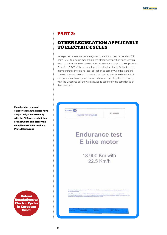### **PART 2:**

### **OTHER LEGISLATION APPLICABLE TO ELECTRIC CYCLES**

As explained above, certain categories of electric cycles, i.e. pedelecs 25 km/h – 250 W, electric mountain bikes, electric competition bikes, certain electric recumbent bikes are excluded from the type-approval. For pedelecs 25 km/h – 250 W, CEN has developed the standard EN 15194 but in most member states there is no legal obligation to comply with the standard. There is however a set of Directives that apply to the above listed vehicle categories. In all cases, manufacturers have a legal obligation to comply with the Directives but they are allowed to self-certify the compliance of their products.



**For all e-bike types and categories manufacturers have a legal obligation to comply with the EU Directives but they are allowed to self-certify the compliance of their products. Photo Bike Europe**

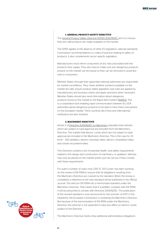### **1. GENERAL PRODUCT SAFETY DIRECTIVE**

The [General Product Safety Directive \(GPSD\) 2001/95/EC](http://eur-lex.europa.eu/legal-content/EN/ALL/?uri=CELEX:32001L0095) aim is to ensure that only safe products are made available on the market.

The GPSD applies in the absence of other EU legislation, national standards, Commission recommendations or codes of practice relating to safety of products. It also complements sector specific legislation.

Manufacturers must inform consumers of any risks associated with the products they supply. They also have to make sure any dangerous products present on the market can be traced so they can be removed to avoid any risks to consumers.

Member States, through their appointed national authorities are responsible for market surveillance. They check whether products available on the market are safe, ensure product safety legislation and rules are applied by manufacturers and business chains and apply sanctions when necessary. Member States should also send information about dangerous products found on the market to the Rapid Alert System [\(RAPEX\). T](https://ec.europa.eu/consumers/consumers_safety/safety_products/rapex/alerts/)his is a cooperation tool enabling rapid communication between EU, EEA authorities about dangerous products to be able to trace them everywhere on the European market. Third countries like China and international institutions are also involved.

### **2. MACHINERY DIRECTIVE**

Article 2 of [Directive 2006/42/EC on Machinery s](http://eur-lex.europa.eu/legal-content/en/TXT/?uri=CELEX:32006L0042)tipulates that vehicles which are subject to type-approval are excluded from the Machinery Directive. This implies that electric cycles which are not subject to typeapproval are included in the Machinery Directive. This is the case for 25 km/h – 250 pedelecs, electric mountain bikes, electric competition bikes and certain recumbent bikes.

This Directive contains a list of essential health- and safety requirements related to the design and construction of machinery, i.e. pedelecs. Vehicles may only be placed on the market and/or put into service if they comply with these requirements.

For quite a number of years now, CEN TC 333 'Cycles' has been working on the review of EN 15194 to ensure that all obligations resulting from the Machinery Directive are covered by the standard. When the review is completed, a reference to the new standard will be published in the Official Journal. This will turn EN 15194 into a harmonised standard under the Machinery Directive. That means that if a pedelec complies with EN 15194, it will be presumed to comply with Directive 2006/42/EC. The publication of the revised standard is now announced for the summer of 2017. In the meantime, the European Commission is reviewing the Machinery Directive. But because of the harmonization of EN 15194 under the Machinery Directive, this exercise is not expected to have any effect on electric cycles subject to the Directive.

**Rules & Regulations on Electric Cycles in European Union**

The Machinery Directive holds a few additional administrative obligations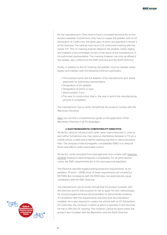for the manufacturers. They have to have a complete technical file on the product available. Furthermore, they have to supply the pedelec with an EC Declaration of Conformity, the particulars of which are specified in Annex II of the Directive. The vehicle must have a CE conformity marking with the initials "CE". The CE marking shall be affixed to the pedelec visibly, legibly and indelibly in the immediate vicinity of the name of the manufacturer or his authorised representative. This marking however, can only be affixed if the pedelec also conforms to the EMC-Directive and the RoHS Directive.

Finally, in addition to the CE marking, the pedelec must be marked visibly, legibly and indelibly with the following minimum particulars:

- The business name and full address of the manufacturer and, where applicable his authorised representative
- Designation of the pedelec
- Designation of series or type
- Serial number, if any
- The year of construction, that is the year in which the manufacturing process is completed.

The manufacturer has to certify himself that his products comply with the Machinery Directive.

[Here](http://ec.europa.eu/DocsRoom/documents/9483/attachments/1/translations) you can find a comprehensive guide on the application of the Machinery Directive in all EU languages.

### **3. ELECTROMAGNETIC COMPATIBILITY DIRECTIVE**

All electric devices influence each other when interconnected or close to each other. Sometimes one may observe interference between a TV set, a mobile phone, a radio and a nearby washing machine or electrical power lines. The purpose of electromagnetic compatibility (EMC) is to keep all those side effects under reasonable control.

All electric cycles excluded from type-approval must comply with [Directive](http://eur-lex.europa.eu/legal-content/EN/TXT/?qid=1461936830934&uri=CELEX:32014L0030)  [2014/30](http://eur-lex.europa.eu/legal-content/EN/TXT/?qid=1461936830934&uri=CELEX:32014L0030) relating to electromagnetic compatibility. For all other electric cycles, the EMC requirements are in the type-approval legislation.

The Directive specifies legally-binding protection requirements. As for pedelecs 25 km/h – 250W, most of these requirements are covered by EN 15194. But compliance with EN 15194 does not automatically equal compliance with the EMC Directive.

The manufacturer has to certify himself that his product complies with the Directive and for that purpose he has to apply his own methodology. He should prepare technical documentation to demonstrate evidence of compliance with the requirements and have that documentation available. He is also required to supply the vehicle with an EC Declaration of Conformity, the minimum content of which is specified in the Directive. He has to affix the CE marking. This however, cannot be done unless the product also complies with the Machinery and the RoHS Directive.

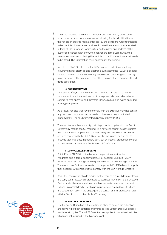The EMC Directive requires that products are identified by type, batch, serial number or any other information allowing for the identification of the vehicle. In order to facilitate traceability, the actual manufacturer needs to be identified by name and address. In case the manufacturer is located outside of the European Community, also the name and address of the authorised representative or (when neither are in the Community) the person responsible for placing the vehicle on the Community market needs to be noted. This information must accompany the vehicle.

Next to the EMC Directive, the EN 15194 has some additional marking requirements for electrical and electronic sub-assemblies (ESAs), except for cables. They shall bear the following indelible and clearly legible markings: make or name of the manufacturer of the ESAs and their components and trade description.

#### **4. RoHS Directive**

[Directive 2011/65/EC o](http://eur-lex.europa.eu/legal-content/EN/TXT/?uri=CELEX:32011L0065)n the restriction of the use of certain hazardous substances in electrical and electronic equipment also excludes vehicles subject to type-approval and therefore includes all electric cycles excluded from type-approval.

As a result, vehicles that have to comply with the Directive may not contain any lead, mercury, cadmium, hexavalent chromium, polybrominated biphenyls (PBB) or polybrominated diphenyl ethers (PBDE).

The manufacturer has to certify that his product complies with the RoHS Directive by means of a CE marking. This however, cannot be done unless the product also complies with the Machinery and the EMC Directive. In order to comply with the RoHS Directive, the manufacturer also has to draw up technical documentation, carry out an internal production control procedure and provide for a Declaration of Conformity.

### **5. Low Voltage Directive**

Point 4.2.4 of EN 15194 on the battery charger stipulates that both integrated and external battery chargers of pedelecs 25 km/h – 250W must be tested according to the requirements of th[e Low Voltage Directive.](http://eur-lex.europa.eu/legal-content/EN/TXT/?qid=1458139617099&uri=CELEX:32014L0035)  Therefore, manufacturers who wish to comply with EN 15194 have to supply their pedelecs with chargers that comply with the Low Voltage Directive.

Again, the manufacturer has to provide for the required technical documentation and carry out an assessment procedure as described in Annex III of the Directive. On the product he must mention a type, batch or serial number and he has to indicate his contact details. The charger must be accompanied by instructions and safety information in the language of the consumer. If his product complies with the Directive, he must apply the CE marking.

### **6. Battery Directive**

The European Union has put legislation in place to ensure the collection and recycling of both batteries and vehicles. The Battery Directive applies to all electric cycles. The WEEE Directive only applies to two-wheel vehicles which are not included in the type-approval.

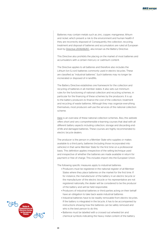Batteries may contain metals such as zinc, copper, manganese, lithium and nickel, which present a risk to the environment and human health if they are incorrectly disposed of. Consequently, the collection, recycling, treatment and disposal of batteries and accumulators are ruled at European level b[y Directive 2006/66/EC](http://eur-lex.europa.eu/legal-content/en/ALL/?uri=CELEX:32006L0066), also known as the Battery Directive.

This Directive also prohibits the placing on the market of most batteries and accumulators with a certain mercury or cadmium content.

The Directive applies to all batteries and therefore also includes the Lithium Ion (Li-ion) batteries commonly used in electric bicycles. These are classified as "industrial batteries". Such batteries may no longer be incinerated or disposed of in landfills.

The Battery Directive establishes one framework for the collection and recycling of batteries in all member states. It also sets out minimum rules for the functioning of national collection and recycling schemes, in particular for the financing of these schemes by the producers. It is up to the battery producers to finance the cost of the collection, treatment and recycling of waste batteries. Although they may organize everything themselves, most producers will use the services of the national collection scheme.

[Here](http://www.eucobat.eu/about-us/members) is an overview of these national collection schemes. Also, this website offers short and very comprehensible e-learning courses that deal with all different battery aspects including collection, storage and discarding endof-life and damaged batteries. These courses are highly recommended to electric bicycle dealers.

The producer is the person in a Member State who supplies or makes available to a third party, batteries (including those incorporated into vehicles) in that same Member State for the first time on a professional basis. This definition applies irrespective of the selling technique used and irrespective of whether the batteries are made available in return for payment or free of charge. This includes import into the European Union.

The following specific measures apply to industrial batteries:

- Producers must be registered in the national register of all Member States where they place batteries on the market for the first time. If for instance, the manufacturer of the battery in an electric bicycle or the manufacturer of the electric bicycle or his representative are not registered nationally, the dealer will be considered to be the producer of the battery and will be held responsible.
- Producers of industrial batteries or third parties acting on their behalf have an obligation to take back waste industrial batteries
- Industrial batteries have to be readily removable from electric bicycles. If the battery is integrated in the bicycle, it has to be accompanied by instructions showing how the batteries can be safely removed and who is the best person to do this.
- Batteries must be labelled with a crossed out wheeled bin and chemical symbols indicating the heavy metal content of the battery.

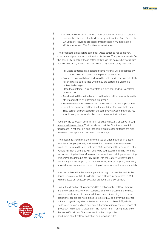• All collected industrial batteries must be recycled. Industrial batteries may not be disposed of in landfills or by incineration. Since September 2011, battery recycling processes must meet minimum recycling efficiencies of and 50% for lithium-ion batteries.

The producer's obligation to take back waste batteries has some very concrete and practical implications for his dealers. The producer must offer the possibility to collect these batteries through the dealers he works with. For this collection, the dealers have to carefully follow safety procedures:

- Put waste batteries in a dedicated container that will be supplied by the national collection scheme the producer works with.
- Cover the poles with tape and wrap the batteries in transparent plastic foil or a plastic bag so that, when they are sorted, it is visible if a battery is damaged.
- Place the container in sight of staff, in a dry, cool and well-ventilated environment.
- Avoid mixing lithium-ion batteries with other batteries as well as with other conductive or inflammable materials.
- Make sure batteries are never left in the wet or outside unprotected.
- Do not put damaged batteries in the container for waste batteries. They cannot be transported in the same way as waste batteries. You should ask your national collection scheme for instructions.

Recently, the European Commission has put the Battery Directive through a so-called fitness check. That has shown that the Directive is now fully transposed in national law and that collection rates for batteries are high. However, there appear to be a few shortcomings.

The check has shown that the growing use of Li-Ion batteries in electric vehicles is not yet properly addressed. For these batteries re-use rules would be useful, as they will still have 80% capacity at the end of life of the vehicle. Further challenges will need to be addressed stemming from the lack of recycling facilities. Moreover, the current methodology for recycling efficiency appears to be not fully in line with the Battery Directive goals, particularly for the recycling of Li-ion batteries, as 50% recycling efficiency target does not guarantee the recycling of hazardous and scarce materials.

Another problem that became apparent through the health check is the double charging for WEEE collection and batteries incorporated in WEEE, which creates unnecessary costs for producers and consumers.

Finally, the definition of "producer" differs between the Battery Directive and the WEEE Directive, which complicates the enforcement of the two laws, especially when it comes to Internet sales. According to the current definitions, dealers are not obliged to register EEE sold over the Internet but are obliged to register batteries incorporated in these EEE, which leads to confusion and misreporting. A harmonisation of the definitions of "producer", "distributor", "placing on the market" and "making available on the market" in all two Directives would solve this problem. [Read more about battery collection and recycling rules.](http://ec.europa.eu/environment/waste/batteries/)

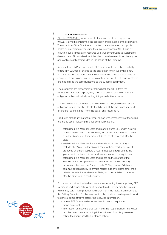### **7. WEEE Directive**

[Directive 2012/19/EU o](http://eur-lex.europa.eu/legal-content/EN/TXT/?qid=1493724273731&uri=CELEX:32012L0019)n waste of electrical and electronic equipment (WEEE) is aimed at improving the collection and recycling of the said waste. The objective of this Directive is to protect the environment and public health by preventing or reducing the adverse impacts of WEEE and by reducing overall impacts of resource use, thus contributing to sustainable development. All two-wheel vehicles which have been excluded from typeapproval are explicitly included in the scope of this Directive.

As a result of this Directive, private EEE users should have the possibility to return WEEE free of charge to the distributor. When supplying a new product, distributors must accept to take back such waste at least free of charge on a one-to-one basis as long as the equipment is of equivalent type and has fulfilled the same functions as the supplied equipment.

The producers are responsible for taking back the WEEE from the distributors. For that purpose, they should be able to choose to fulfil this obligation either individually or by joining a collective scheme.

In other words, if a customer buys a new electric bike, the dealer has the obligation to take back his old electric bike, whilst the manufacturer has to arrange for taking it back from the dealer and recycling it.

'Producer' means any natural or legal person who, irrespective of the selling technique used, including distance communication is:

- established in a Member State and manufactures EEE under his own name or trademark, or as EEE designed or manufactured and markets it under his name or trademark within the territory of that Member State
- established in a Member State and resells within the territory of that Member State, under his own name or trademark, equipment produced by other suppliers, a reseller not being regarded as the 'producer' if the brand of the producer appears on the equipment
- established in a Member State and places on the market of that Member State, on a professional basis, EEE from a third country or from another Member State; or sells EEE by means of distance communication directly to private households or to users other than private households in a Member State, and is established in another Member State or in a third country.

Producers or their authorised representative, including those supplying EEE by means of distance selling, must be registered in every member state in which they sell. This registration is different form the registration relating to the Battery Directive. For that registration, the producer has to provide, next to general administrative details, the following information:

- type of EEE (household or other than household equipment)
- brand name of EEE
- information on how the producer meets his responsibilities: individual or collective scheme, including information on financial guarantee
- selling technique used (e.g. distance selling)

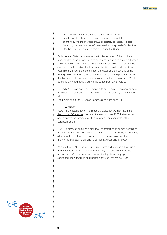- declaration stating that the information provided is true.
- quantity of EEE placed on the national market, by weight
- quantity, by weight, of waste of EEE separately collected, recycled (including prepared for re-use), recovered and disposed of within the Member State or shipped within or outside the Union.

Each Member State has to ensure the implementation of the 'producer responsibility' principle and, on that basis, ensure that a minimum collection rate is achieved annually. Since 2016, the minimum collection rate is 45%, calculated on the basis of the total weight of WEEE collected in a given year in the Member State concerned, expressed as a percentage of the average weight of EEE placed on the market in the three preceding years in that Member State. Member States must ensure that the volume of WEEE collected evolves gradually during the period from 2016 to 2019.

For each WEEE category, the Directive sets out minimum recovery targets. However, it remains unclear under which product category electric cycles fall.

[Read more about the European Commission's rules on WEEE.](http://ec.europa.eu/environment/waste/batteries/)

#### **8. REACH**

REACH is the [Regulation on Registration, Evaluation, Authorisation and](http://eur-lex.europa.eu/legal-content/EN/TXT/?uri=CELEX:32006R1907)  [Restriction of Chemicals. I](http://eur-lex.europa.eu/legal-content/EN/TXT/?uri=CELEX:32006R1907)t entered force on 1st June 2007. It streamlines and improves the former legislative framework on chemicals of the European Union.

REACH is aimed at ensuring a high level of protection of human health and the environment from the risks that can result from chemicals, at promoting alternative test methods, improving the free circulation of substances on the internal market and enhancing competitiveness and innovation.

As a result of REACH, the industry must assess and manage risks resulting from chemicals. REACH also obliges industry to provide the users with appropriate safety information. However, the legislation only applies to substances manufactured or imported above 100 tonnes per year.

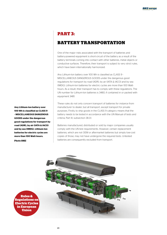### **PART 3:**

### **BATTERY TRANSPORTATION**

One of the major risks associated with the transport of batteries and battery-powered equipment is short-circuit of the battery as a result of the battery terminals coming into contact with other batteries, metal objects or conductive surfaces. Therefore, their transport is subject to very strict rules, which have been internationally harmonized.

Any Lithium-Ion battery over 100 Wh is classified as CLASS 9 - MISCELLANEOUS DANGEROUS GOODS under the dangerous good regulations for transport by road (ADR), by air (IATA & IACO) and by sea (IMDG). Lithium-Ion batteries for electric cycles are more than 100 Watthours. As a result, their transport has to comply with these regulations. The UN number for Lithium-Ion batteries is 3480, if contained in or packed with equipment 3481.

These rules do not only concern transport of batteries for instance from manufacturer to dealer, but all transport, except transport for private purposes. Firstly, to ship goods in the CLASS 9 category means that the battery needs to be tested in accordance with the UN Manual of tests and criteria, Part III, subsection 38.3.1.

Batteries manufactured, distributed or sold by major companies usually comply with the UN test requirements. However, certain replacement batteries, which are not OEM or aftermarket batteries but simply low-cost copies of those, may not have undergone the required tests. Untested batteries are consequently excluded from transport.



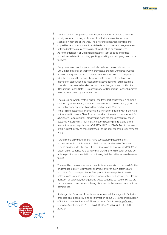Users of equipment powered by Lithium-Ion batteries should therefore be vigilant when buying replacement batteries from unknown sources, such as on markets or the web. The differences between genuine and copied battery types may not be visible but could be very dangerous; such untested batteries may have a risk of overheating or causing fires. As for the transport of Lithium-Ion batteries, very specific and strict procedures related to handling, packing, labelling and shipping need to be followed.

If any company handles, packs and labels dangerous goods, such as Lithium-Ion batteries at their own premises, a trained "Dangerous Goods Advisor" is required onsite to oversee that this is done in full compliance with the rules and to declare the goods safe to travel. If you have no member of staff which has received the above training, you must hire a specialist company to handle, pack and label the goods and to fill out a "Dangerous Goods Note". It is compulsory for Dangerous Goods shipments to be accompanied by this document.

There are also weight restrictions for the transport of batteries. A package shipped by air containing a lithium battery may not exceed 10kg gross. The weight limit per package shipped by road or sea is 30kg gross. If the lithium batteries are contained in a vehicle or packed with it, they are not required to have a Class 9 hazard label and there is no requirement for a Shipper's Declaration for Dangerous Goods for consignments of these batteries. Nevertheless, they must meet the packing instructions of the relevant transport regulations (ADR, IATA, IACO or IDMG). And, in the event of an incident involving these batteries, the incident reporting requirements apply.

Furthermore, only batteries that have successfully passed the test procedures of Part III, Sub-Section 38.3.1 of the UN Manual of Tests and Criteria qualify under this exception. This also applies to so-called "OEM" or "aftermarket" batteries. Any battery manufacturer or distributor should be able to provide documentation, confirming that the batteries have been so tested.

There will be occasions where a manufacturer may wish to have a defective or damaged battery returned for analysis. However, such batteries are prohibited from transport by air. This prohibition also applies to waste batteries and batteries being shipped for recycling or disposal. The rules for transport of defective, damaged and waste batteries by road or by sea are inconclusive and are currently being discussed in the relevant international committees.

Recharge, the European Association for Advanced Rechargeable Batteries proposes an e-book providing all information about UN transport regulation of Lithium batteries. It costs € 89 and you can find it here: [http://eur-lex.](http://eur-lex.europa.eu/legal-content/EN/TXT/?qid=1493724273731&uri=CELEX:32012L0019) [europa.eu/legal-content/EN/TXT/?qid=1493724273731&uri=CELEX:3201](http://eur-lex.europa.eu/legal-content/EN/TXT/?qid=1493724273731&uri=CELEX:32012L0019) 2L0019

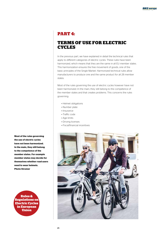### **PART 4:**

### **TERMS OF USE FOR ELECTRIC CYCLES**

In the previous part, we have explained in detail the technical rules that apply to different categories of electric cycles. These rules have been harmonized, which means that they are the same in all EU member states. This harmonization ensures the free movement of goods, one of the basic principles of the Single Market. Harmonized technical rules allow manufacturers to produce one and the same product for all 28 member states.

Most of the rules governing the use of electric cycles however have not been harmonized. In the main, they still belong to the competence of the member states and that creates problems. This concerns the rules governing:

- Helmet obligations
- Number plate
- Insurance
- Traffic code
- Age limits
- Driving licenses
- Fiscal/financial incentives



**Most of the rules governing the use of electric cycles have not been harmonized. In the main, they still belong to the competence of the member states. For example member states may decide for themselves whether road users need to wear helmets. Photo Stromer**

**Rules & Regulations on Electric Cycles in European Union**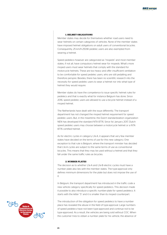### **1. HELMET OBLIGATIONS**

Member states may decide for themselves whether road users need to wear helmets on certain categories of vehicles. None of the member states have imposed helmet obligations on adult users of conventional bicycles. Consequently, 25 km/h-250W pedelec users are also exempted from wearing a helmet.

Speed pedelecs however are categorized as "mopeds" and most member states, if not all, have compulsory helmet wear for mopeds. What's more moped users must wear helmets that comply with the standard for motorcycle helmets. These are too heavy and offer insufficient ventilation to be comfortable for speed pedelec users, who are still pedalling and therefore perspire. Besides, there has been no scientific research into the necessity for speed pedelec users to wear a helmet nor into what type of helmet they would require.

Member states do have the competence to issue specific helmet rules for pedelecs and that is exactly what for instance Belgium has done. Since 2016, speed pedelec users are allowed to use a bicycle helmet instead of a moped helmet.

The Netherlands have dealt with the issue differently. The transport department has not changed the moped helmet requirement for speed pedelec users. But, in the meantime, the Dutch standardization organization NEN has developed the standard NTA 8776. Since 1st January 2017, Dutch speed pedelec users may choose between a motorcycle helmet or a NTA 8776 certified helmet.

As for electric cycles in category L1e-A, it appears that very few member states have decided on the terms of use for this new category. One exception to that rule is Belgium, where the transport minister has decided that L1e-A cycles are subject to the same terms of use as conventional bicycles. This means that they may be used without a helmet and that they fall under the same traffic rules as bicycles.

#### **2. NUMBER PLATES**

The decision as to whether L1e-A and L1e-B electric cycles must have a number plate also lies with the member states. The type-approval only defines minimum dimensions for the plate but does not impose the use of it.

In Belgium, the transport department has introduced in the traffic code a new vehicle category specifically for speed pedelecs. This decision made it possible to also introduce a specific number-plate for speed pedelecs. It starts with the letter "S" and it is smaller than its moped counterpart.

The introduction of the obligation for speed pedelecs to have a number place has revealed the abuse in the field of type-approval. Large numbers of speed pedelecs have not been type-approved and continue not to be type-approved. As a result, the vehicles are being sold without COC. When the customer tries to obtain a number plate for his vehicle, the absence of

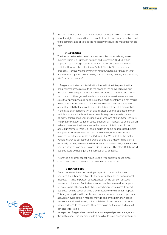the COC, brings to light that he has bought an illegal vehicle. The customers have the right to demand for the manufacturer to take back the vehicle and to be compensated or to take the necessary measures to make the vehicle legal.

### **3. INSURANCE**

The insurance issue is one of the most complex issues relating to electric bicycles. There is a European harmonized [Directive 2009/103,](http://eur-lex.europa.eu/legal-content/EN/TXT/?uri=CELEX%3A32009L0103) which imposes insurance against civil liability in respect of the use of motor vehicles. However, the definition of "vehicle" in this Directive causes problems: "*'vehicle' means any motor vehicle intended for travel on land*  and propelled by mechanical power, but not running on rails, and any trailer, *whether or not coupled".*

In Belgium for instance, this definition has led to the interpretation that pedal assisted cycles are outside the scope of the above Directive and therefore do not require a motor vehicle insurance. These cyclists should be covered by their general family insurance. As a result, some insurers state that speed pedelecs, because of their pedal assistance, do not require a motor vehicle insurance. Consequently, in those member states which apply strict liability, they would also enjoy this privilege. This means that in the case of an accident, which also involves a vehicle subject to motor vehicle insurance, the latter insurance will always compensate the socalled vulnerable road user, irrespective of who was at fault. Other insurers interpret the categorization of speed pedelecs as "mopeds" as an obligation to have motor vehicle insurance. In this case, strict liability would not apply. Furthermore, there is a lot of discussion about pedal assisted cycles equipped with a walk assist of maximum of 6 km/h. This feature would make the pedelecs, including the 25 km/h – 250W, subject to the motor vehicle insurance obligation. Following all this, the situation in Belgium is extremely unclear, whereas the Netherlands has a clear obligation for speed pedelec users to take on a motor vehicle insurance. Therefore, Dutch speed pedelec users do not enjoy the privileges of strict liability.

Insurance is another aspect which reveals type-approval abuse since consumers have to present a COC to obtain an insurance.

#### **4. TRAFFIC CODE**

If member states have not developed specific provisions for speed pedelecs, then they are subject to the same traffic rules as conventional mopeds. This has important consequences for the position of speed pedelecs on the road. For instance, some member states allow mopeds on cycle paths, others explicitly ban mopeds from cycle paths. If speed pedelecs have no specific status, they must follow the rules for mopeds. This regime applies in the Netherlands where, in some cases, mopeds are allowed on cycle paths. If mopeds may go on a cycle path, then speed pedelecs are allowed as well, but a prohibition for mopeds also includes speed pedelecs. In those cases, they have to go on the road and mix with car- and truck-traffic.

As explained, Belgium has created a separate speed pedelec category in the traffic code. This decision made it possible to issue specific traffic rules

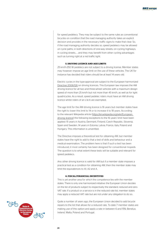for speed pedelecs. They may be subject to the same rules as conventional bicycles on condition that the road managing authority takes an explicit decision and provides in the necessary traffic signs to make that clear. So, if the road managing authority decides so, speed pedelecs may be allowed on cycle paths, in both directions of one-way streets, on cycling highways, in cycling streets, … and they may benefit from other cycling advantages such as turning right at a red traffic light.

### **5. DRIVING LICENCE AND AGE LIMITS**

25 km/h-250 W pedelecs are not subject to a driving license. Member states may however impose an age limit on the use of these vehicles. The UK for instance has decided that riders should be at least 14 years old.

Electric cycles in the type-approval are subject to the European harmonized [Directive 2006/126 o](http://eur-lex.europa.eu/legal-content/EN/TXT/?uri=CELEX%3A32006L0126)n driving licences. This European law imposes the AM driving licence for all two and three-wheel vehicles with a maximum design speed of more than 25 km/h but not more than 45 km/h, as well as for light quadricycles. As a result, speed pedelec riders must have an AM driving licence whilst riders of an L1e-A are exempted.

The age limit for the AM driving licence is 16 years but member states have the right to lower this limit to 14 or to increase it to 18 years. According to the relevant Wikipedia article [\(https://en.wikipedia.org/wiki/European\\_](https://en.wikipedia.org/wiki/European_driving_licence) driving licence) the following exceptions to the 16 years' limit have been applied: 15 years in Austria, Denmark, Finland, Czech Republic, Slovenia, Spain and Sweden, 14 years in Estonia, Latvia, France, Italy, Poland and Hungary. This information is unverified.

The Directive imposes a theoretical test for obtaining AM, but member states have the right to add to that a test of skills and behaviour and a medical examination. The problem here is that if such a test has been introduced, it most certainly has been designed for conventional mopeds. The question is to what extent these tests will be suitable and relevant for speed pedelecs.

Any other driving licence is valid for AM but if a member state imposes a practical test as a condition for obtaining AM, then the member state may limit the equivalences to A1, A2 and A.

### **6. FISCAL/FINANCIAL INCENTIVES**

This is yet another area for which the competence lies with the member states. There is only one harmonized initiative: the European Union decides on the list of products subject to respectively the standard, reduced and zero VAT rate. If a product or a service is in the reduced rate list, member states may apply a reduced VAT rate but are not under any obligation to do so.

Quite a number of years ago, the European Union decided to add bicycle repairs to the list that allows for a reduced rate. To date 7 member states are making use of this option and apply a rate in between 6 and 15%: Benelux, Ireland, Malta, Poland and Portugal.